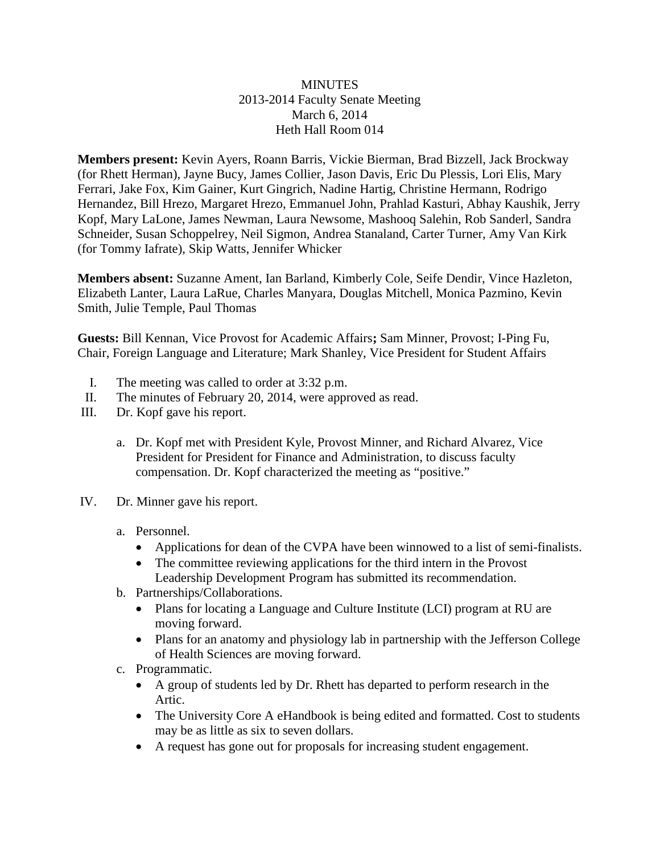#### **MINUTES** 2013-2014 Faculty Senate Meeting March 6, 2014 Heth Hall Room 014

**Members present:** Kevin Ayers, Roann Barris, Vickie Bierman, Brad Bizzell, Jack Brockway (for Rhett Herman), Jayne Bucy, James Collier, Jason Davis, Eric Du Plessis, Lori Elis, Mary Ferrari, Jake Fox, Kim Gainer, Kurt Gingrich, Nadine Hartig, Christine Hermann, Rodrigo Hernandez, Bill Hrezo, Margaret Hrezo, Emmanuel John, Prahlad Kasturi, Abhay Kaushik, Jerry Kopf, Mary LaLone, James Newman, Laura Newsome, Mashooq Salehin, Rob Sanderl, Sandra Schneider, Susan Schoppelrey, Neil Sigmon, Andrea Stanaland, Carter Turner, Amy Van Kirk (for Tommy Iafrate), Skip Watts, Jennifer Whicker

**Members absent:** Suzanne Ament, Ian Barland, Kimberly Cole, Seife Dendir, Vince Hazleton, Elizabeth Lanter, Laura LaRue, Charles Manyara, Douglas Mitchell, Monica Pazmino, Kevin Smith, Julie Temple, Paul Thomas

**Guests:** Bill Kennan, Vice Provost for Academic Affairs**;** Sam Minner, Provost; I-Ping Fu, Chair, Foreign Language and Literature; Mark Shanley, Vice President for Student Affairs

- I. The meeting was called to order at 3:32 p.m.
- II. The minutes of February 20, 2014, were approved as read.
- III. Dr. Kopf gave his report.
	- a. Dr. Kopf met with President Kyle, Provost Minner, and Richard Alvarez, Vice President for President for Finance and Administration, to discuss faculty compensation. Dr. Kopf characterized the meeting as "positive."
- IV. Dr. Minner gave his report.
	- a. Personnel.
		- Applications for dean of the CVPA have been winnowed to a list of semi-finalists.
		- The committee reviewing applications for the third intern in the Provost Leadership Development Program has submitted its recommendation.
	- b. Partnerships/Collaborations.
		- Plans for locating a Language and Culture Institute (LCI) program at RU are moving forward.
		- Plans for an anatomy and physiology lab in partnership with the Jefferson College of Health Sciences are moving forward.
	- c. Programmatic.
		- A group of students led by Dr. Rhett has departed to perform research in the Artic.
		- The University Core A eHandbook is being edited and formatted. Cost to students may be as little as six to seven dollars.
		- A request has gone out for proposals for increasing student engagement.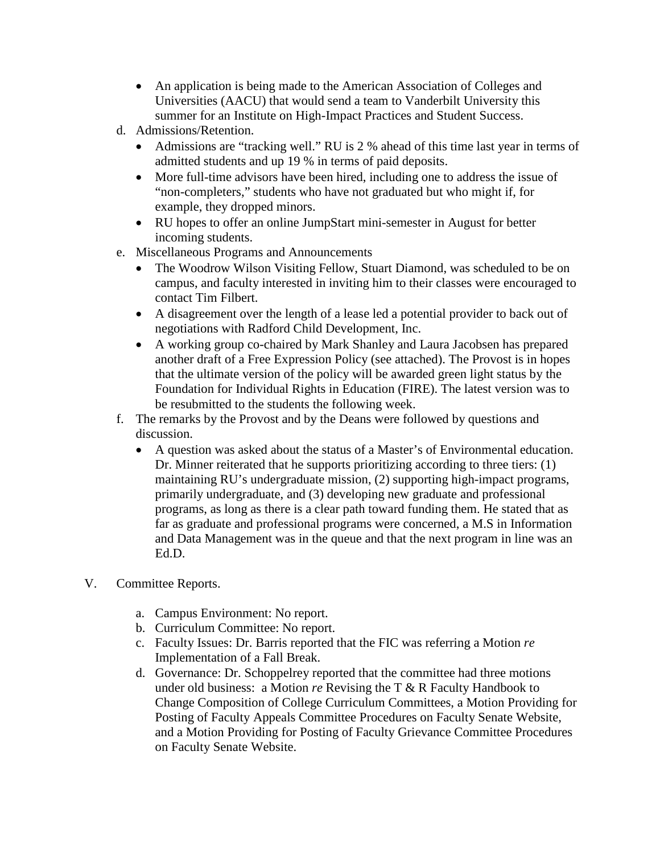- An application is being made to the American Association of Colleges and Universities (AACU) that would send a team to Vanderbilt University this summer for an Institute on High-Impact Practices and Student Success.
- d. Admissions/Retention.
	- Admissions are "tracking well." RU is 2 % ahead of this time last year in terms of admitted students and up 19 % in terms of paid deposits.
	- More full-time advisors have been hired, including one to address the issue of "non-completers," students who have not graduated but who might if, for example, they dropped minors.
	- RU hopes to offer an online JumpStart mini-semester in August for better incoming students.
- e. Miscellaneous Programs and Announcements
	- The Woodrow Wilson Visiting Fellow, Stuart Diamond, was scheduled to be on campus, and faculty interested in inviting him to their classes were encouraged to contact Tim Filbert.
	- A disagreement over the length of a lease led a potential provider to back out of negotiations with Radford Child Development, Inc.
	- A working group co-chaired by Mark Shanley and Laura Jacobsen has prepared another draft of a Free Expression Policy (see attached). The Provost is in hopes that the ultimate version of the policy will be awarded green light status by the Foundation for Individual Rights in Education (FIRE). The latest version was to be resubmitted to the students the following week.
- f. The remarks by the Provost and by the Deans were followed by questions and discussion.
	- A question was asked about the status of a Master's of Environmental education. Dr. Minner reiterated that he supports prioritizing according to three tiers: (1) maintaining RU's undergraduate mission, (2) supporting high-impact programs, primarily undergraduate, and (3) developing new graduate and professional programs, as long as there is a clear path toward funding them. He stated that as far as graduate and professional programs were concerned, a M.S in Information and Data Management was in the queue and that the next program in line was an Ed.D.
- V. Committee Reports.
	- a. Campus Environment: No report.
	- b. Curriculum Committee: No report.
	- c. Faculty Issues: Dr. Barris reported that the FIC was referring a Motion *re* Implementation of a Fall Break.
	- d. Governance: Dr. Schoppelrey reported that the committee had three motions under old business: a Motion *re* Revising the T & R Faculty Handbook to Change Composition of College Curriculum Committees, a Motion Providing for Posting of Faculty Appeals Committee Procedures on Faculty Senate Website, and a Motion Providing for Posting of Faculty Grievance Committee Procedures on Faculty Senate Website.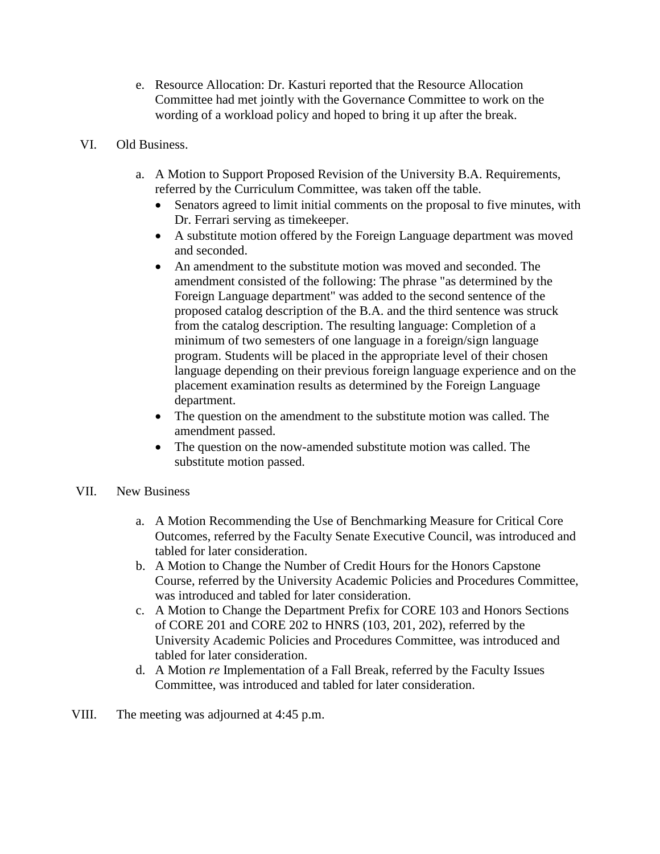- e. Resource Allocation: Dr. Kasturi reported that the Resource Allocation Committee had met jointly with the Governance Committee to work on the wording of a workload policy and hoped to bring it up after the break.
- VI. Old Business.
	- a. A Motion to Support Proposed Revision of the University B.A. Requirements, referred by the Curriculum Committee, was taken off the table.
		- Senators agreed to limit initial comments on the proposal to five minutes, with Dr. Ferrari serving as timekeeper.
		- A substitute motion offered by the Foreign Language department was moved and seconded.
		- An amendment to the substitute motion was moved and seconded. The amendment consisted of the following: The phrase "as determined by the Foreign Language department" was added to the second sentence of the proposed catalog description of the B.A. and the third sentence was struck from the catalog description. The resulting language: Completion of a minimum of two semesters of one language in a foreign/sign language program. Students will be placed in the appropriate level of their chosen language depending on their previous foreign language experience and on the placement examination results as determined by the Foreign Language department.
		- The question on the amendment to the substitute motion was called. The amendment passed.
		- The question on the now-amended substitute motion was called. The substitute motion passed.
- VII. New Business
	- a. A Motion Recommending the Use of Benchmarking Measure for Critical Core Outcomes, referred by the Faculty Senate Executive Council, was introduced and tabled for later consideration.
	- b. A Motion to Change the Number of Credit Hours for the Honors Capstone Course, referred by the University Academic Policies and Procedures Committee, was introduced and tabled for later consideration.
	- c. A Motion to Change the Department Prefix for CORE 103 and Honors Sections of CORE 201 and CORE 202 to HNRS (103, 201, 202), referred by the University Academic Policies and Procedures Committee, was introduced and tabled for later consideration.
	- d. A Motion *re* Implementation of a Fall Break, referred by the Faculty Issues Committee, was introduced and tabled for later consideration.
- VIII. The meeting was adjourned at 4:45 p.m.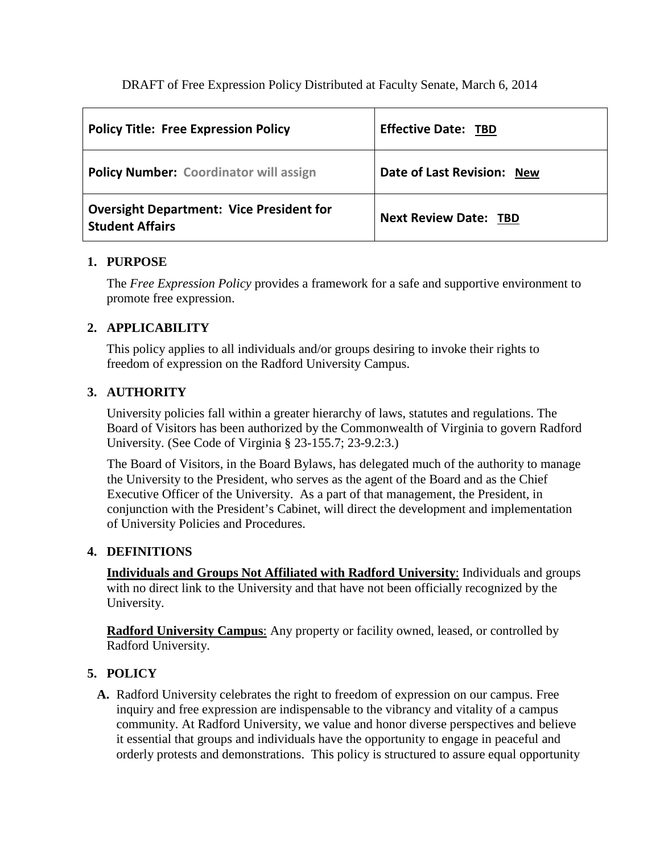| <b>Policy Title: Free Expression Policy</b>                               | <b>Effective Date: TBD</b>   |
|---------------------------------------------------------------------------|------------------------------|
| <b>Policy Number: Coordinator will assign</b>                             | Date of Last Revision: New   |
| <b>Oversight Department: Vice President for</b><br><b>Student Affairs</b> | <b>Next Review Date: TBD</b> |

### **1. PURPOSE**

The *Free Expression Policy* provides a framework for a safe and supportive environment to promote free expression.

# **2. APPLICABILITY**

This policy applies to all individuals and/or groups desiring to invoke their rights to freedom of expression on the Radford University Campus.

# **3. AUTHORITY**

University policies fall within a greater hierarchy of laws, statutes and regulations. The Board of Visitors has been authorized by the Commonwealth of Virginia to govern Radford University. (See Code of Virginia § 23-155.7; 23-9.2:3.)

The Board of Visitors, in the Board Bylaws, has delegated much of the authority to manage the University to the President, who serves as the agent of the Board and as the Chief Executive Officer of the University. As a part of that management, the President, in conjunction with the President's Cabinet, will direct the development and implementation of University Policies and Procedures.

# **4. DEFINITIONS**

**Individuals and Groups Not Affiliated with Radford University**: Individuals and groups with no direct link to the University and that have not been officially recognized by the University.

**Radford University Campus**: Any property or facility owned, leased, or controlled by Radford University.

# **5. POLICY**

**A.** Radford University celebrates the right to freedom of expression on our campus. Free inquiry and free expression are indispensable to the vibrancy and vitality of a campus community. At Radford University, we value and honor diverse perspectives and believe it essential that groups and individuals have the opportunity to engage in peaceful and orderly protests and demonstrations. This policy is structured to assure equal opportunity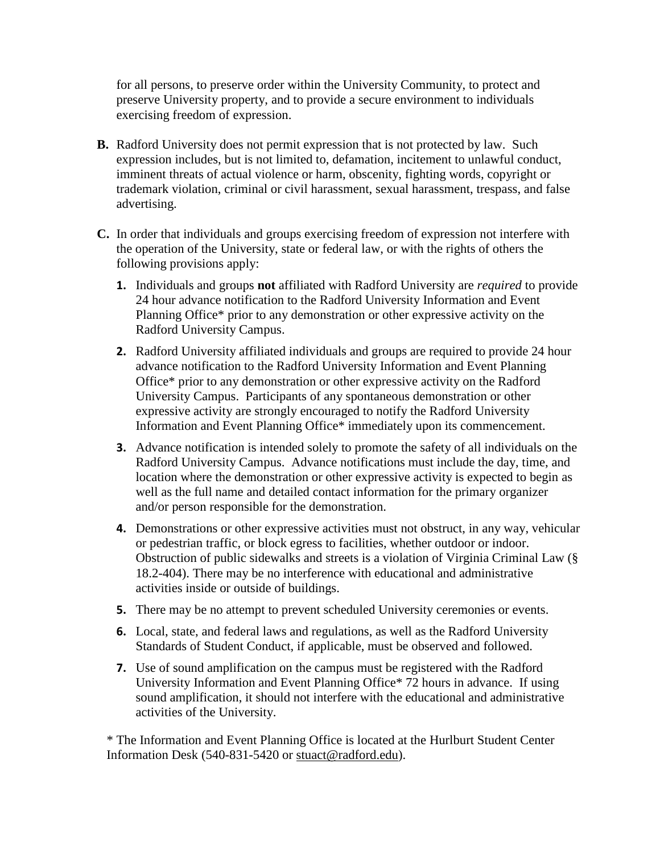for all persons, to preserve order within the University Community, to protect and preserve University property, and to provide a secure environment to individuals exercising freedom of expression.

- **B.** Radford University does not permit expression that is not protected by law. Such expression includes, but is not limited to, defamation, incitement to unlawful conduct, imminent threats of actual violence or harm, obscenity, fighting words, copyright or trademark violation, criminal or civil harassment, sexual harassment, trespass, and false advertising.
- **C.** In order that individuals and groups exercising freedom of expression not interfere with the operation of the University, state or federal law, or with the rights of others the following provisions apply:
	- **1.** Individuals and groups **not** affiliated with Radford University are *required* to provide 24 hour advance notification to the Radford University Information and Event Planning Office\* prior to any demonstration or other expressive activity on the Radford University Campus.
	- **2.** Radford University affiliated individuals and groups are required to provide 24 hour advance notification to the Radford University Information and Event Planning Office\* prior to any demonstration or other expressive activity on the Radford University Campus. Participants of any spontaneous demonstration or other expressive activity are strongly encouraged to notify the Radford University Information and Event Planning Office\* immediately upon its commencement.
	- **3.** Advance notification is intended solely to promote the safety of all individuals on the Radford University Campus. Advance notifications must include the day, time, and location where the demonstration or other expressive activity is expected to begin as well as the full name and detailed contact information for the primary organizer and/or person responsible for the demonstration.
	- **4.** Demonstrations or other expressive activities must not obstruct, in any way, vehicular or pedestrian traffic, or block egress to facilities, whether outdoor or indoor. Obstruction of public sidewalks and streets is a violation of Virginia Criminal Law (§ 18.2-404). There may be no interference with educational and administrative activities inside or outside of buildings.
	- **5.** There may be no attempt to prevent scheduled University ceremonies or events.
	- **6.** Local, state, and federal laws and regulations, as well as the Radford University Standards of Student Conduct, if applicable, must be observed and followed.
	- **7.** Use of sound amplification on the campus must be registered with the Radford University Information and Event Planning Office\* 72 hours in advance. If using sound amplification, it should not interfere with the educational and administrative activities of the University.

\* The Information and Event Planning Office is located at the Hurlburt Student Center Information Desk (540-831-5420 or [stuact@radford.edu\)](mailto:stuact@radford.edu).